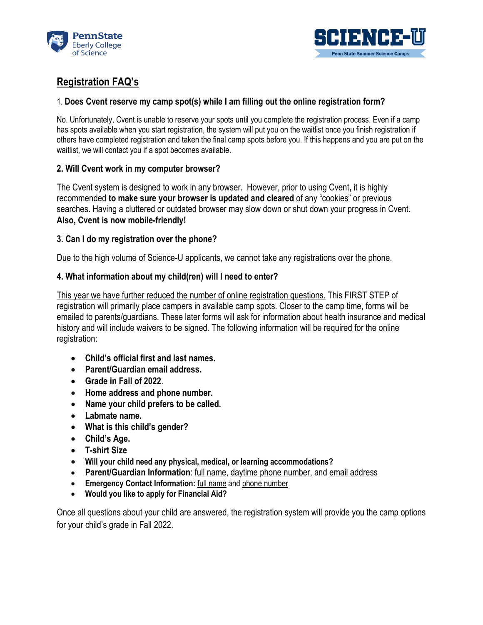



# **Registration FAQ's**

## 1. **Does Cvent reserve my camp spot(s) while I am filling out the online registration form?**

No. Unfortunately, Cvent is unable to reserve your spots until you complete the registration process. Even if a camp has spots available when you start registration, the system will put you on the waitlist once you finish registration if others have completed registration and taken the final camp spots before you. If this happens and you are put on the waitlist, we will contact you if a spot becomes available.

# **2. Will Cvent work in my computer browser?**

The Cvent system is designed to work in any browser. However, prior to using Cvent**,** it is highly recommended **to make sure your browser is updated and cleared** of any "cookies" or previous searches. Having a cluttered or outdated browser may slow down or shut down your progress in Cvent. **Also, Cvent is now mobile-friendly!**

# **3. Can I do my registration over the phone?**

Due to the high volume of Science-U applicants, we cannot take any registrations over the phone.

# **4. What information about my child(ren) will I need to enter?**

This year we have further reduced the number of online registration questions. This FIRST STEP of registration will primarily place campers in available camp spots. Closer to the camp time, forms will be emailed to parents/guardians. These later forms will ask for information about health insurance and medical history and will include waivers to be signed. The following information will be required for the online registration:

- **Child's official first and last names.**
- **Parent/Guardian email address.**
- **Grade in Fall of 2022**.
- **Home address and phone number.**
- **Name your child prefers to be called.**
- **Labmate name.**
- **What is this child's gender?**
- **Child's Age.**
- **T-shirt Size**
- **Will your child need any physical, medical, or learning accommodations?**
- **Parent/Guardian Information**: full name, daytime phone number, and email address
- **Emergency Contact Information:** full name and phone number
- **Would you like to apply for Financial Aid?**

Once all questions about your child are answered, the registration system will provide you the camp options for your child's grade in Fall 2022.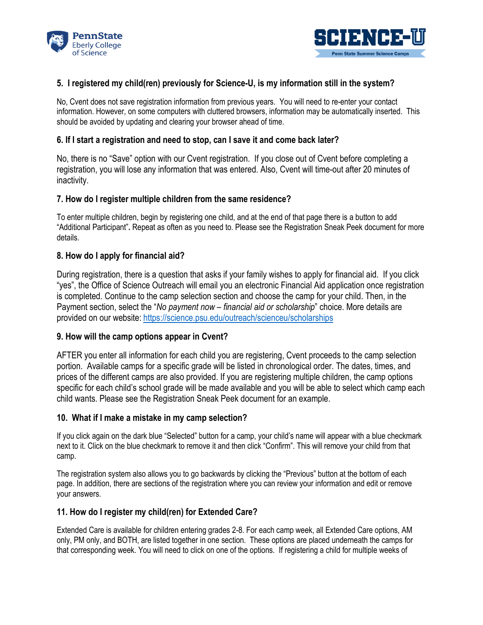



## **5. I registered my child(ren) previously for Science-U, is my information still in the system?**

No, Cvent does not save registration information from previous years. You will need to re-enter your contact information. However, on some computers with cluttered browsers, information may be automatically inserted. This should be avoided by updating and clearing your browser ahead of time.

## **6. If I start a registration and need to stop, can I save it and come back later?**

No, there is no "Save" option with our Cvent registration. If you close out of Cvent before completing a registration, you will lose any information that was entered. Also, Cvent will time-out after 20 minutes of inactivity.

## **7. How do I register multiple children from the same residence?**

To enter multiple children, begin by registering one child, and at the end of that page there is a button to add "Additional Participant"**.** Repeat as often as you need to. Please see the Registration Sneak Peek document for more details.

## **8. How do I apply for financial aid?**

During registration, there is a question that asks if your family wishes to apply for financial aid. If you click "yes", the Office of Science Outreach will email you an electronic Financial Aid application once registration is completed. Continue to the camp selection section and choose the camp for your child. Then, in the Payment section, select the "*No payment now – financial aid or scholarship*" choice. More details are provided on our website: <https://science.psu.edu/outreach/scienceu/scholarships>

#### **9. How will the camp options appear in Cvent?**

AFTER you enter all information for each child you are registering, Cvent proceeds to the camp selection portion. Available camps for a specific grade will be listed in chronological order. The dates, times, and prices of the different camps are also provided. If you are registering multiple children, the camp options specific for each child's school grade will be made available and you will be able to select which camp each child wants. Please see the Registration Sneak Peek document for an example.

#### **10. What if I make a mistake in my camp selection?**

If you click again on the dark blue "Selected" button for a camp, your child's name will appear with a blue checkmark next to it. Click on the blue checkmark to remove it and then click "Confirm". This will remove your child from that camp.

The registration system also allows you to go backwards by clicking the "Previous" button at the bottom of each page. In addition, there are sections of the registration where you can review your information and edit or remove your answers.

#### **11. How do I register my child(ren) for Extended Care?**

Extended Care is available for children entering grades 2-8. For each camp week, all Extended Care options, AM only, PM only, and BOTH, are listed together in one section. These options are placed underneath the camps for that corresponding week. You will need to click on one of the options. If registering a child for multiple weeks of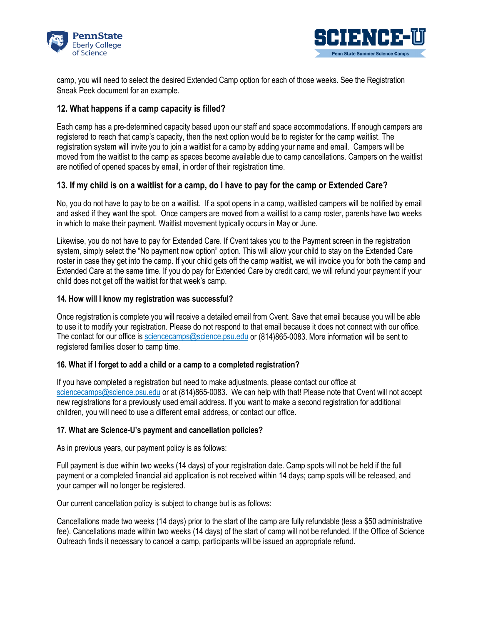



camp, you will need to select the desired Extended Camp option for each of those weeks. See the Registration Sneak Peek document for an example.

## **12. What happens if a camp capacity is filled?**

Each camp has a pre-determined capacity based upon our staff and space accommodations. If enough campers are registered to reach that camp's capacity, then the next option would be to register for the camp waitlist. The registration system will invite you to join a waitlist for a camp by adding your name and email. Campers will be moved from the waitlist to the camp as spaces become available due to camp cancellations. Campers on the waitlist are notified of opened spaces by email, in order of their registration time.

## **13. If my child is on a waitlist for a camp, do I have to pay for the camp or Extended Care?**

No, you do not have to pay to be on a waitlist. If a spot opens in a camp, waitlisted campers will be notified by email and asked if they want the spot. Once campers are moved from a waitlist to a camp roster, parents have two weeks in which to make their payment. Waitlist movement typically occurs in May or June.

Likewise, you do not have to pay for Extended Care. If Cvent takes you to the Payment screen in the registration system, simply select the "No payment now option" option. This will allow your child to stay on the Extended Care roster in case they get into the camp. If your child gets off the camp waitlist, we will invoice you for both the camp and Extended Care at the same time. If you do pay for Extended Care by credit card, we will refund your payment if your child does not get off the waitlist for that week's camp.

#### **14. How will I know my registration was successful?**

Once registration is complete you will receive a detailed email from Cvent. Save that email because you will be able to use it to modify your registration. Please do not respond to that email because it does not connect with our office. The contact for our office is [sciencecamps@science.psu.edu](mailto:sciencecamps@science.psu.edu) or (814)865-0083. More information will be sent to registered families closer to camp time.

#### **16. What if I forget to add a child or a camp to a completed registration?**

If you have completed a registration but need to make adjustments, please contact our office at [sciencecamps@science.psu.edu](mailto:sciencecamps@science.psu.edu) or at (814)865-0083. We can help with that! Please note that Cvent will not accept new registrations for a previously used email address. If you want to make a second registration for additional children, you will need to use a different email address, or contact our office.

#### **17. What are Science-U's payment and cancellation policies?**

As in previous years, our payment policy is as follows:

Full payment is due within two weeks (14 days) of your registration date. Camp spots will not be held if the full payment or a completed financial aid application is not received within 14 days; camp spots will be released, and your camper will no longer be registered.

Our current cancellation policy is subject to change but is as follows:

Cancellations made two weeks (14 days) prior to the start of the camp are fully refundable (less a \$50 administrative fee). Cancellations made within two weeks (14 days) of the start of camp will not be refunded. If the Office of Science Outreach finds it necessary to cancel a camp, participants will be issued an appropriate refund.